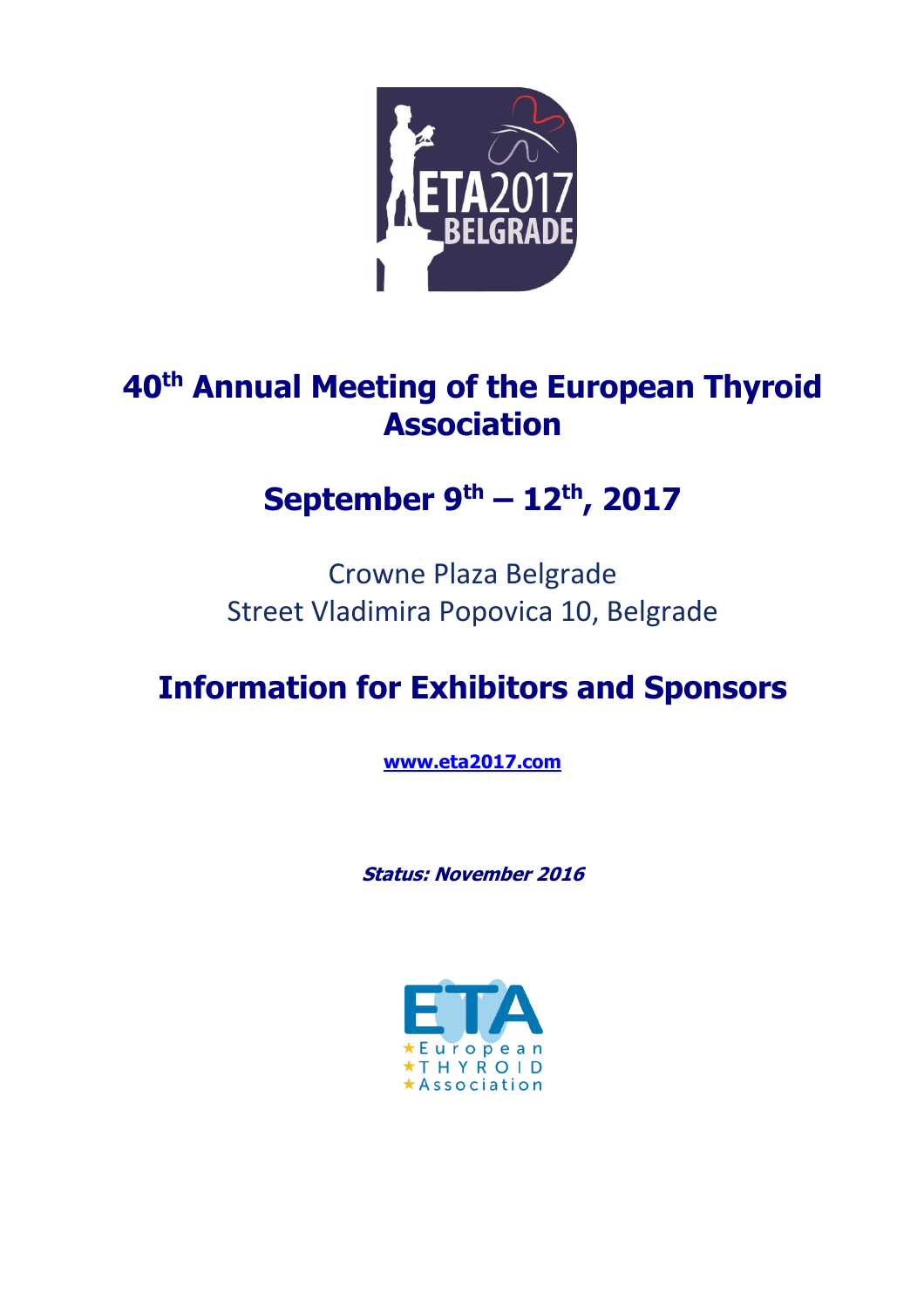

# **40th Annual Meeting of the European Thyroid Association**

# **September 9 th – 12th, 2017**

# Crowne Plaza Belgrade Street Vladimira Popovica 10, Belgrade

# **Information for Exhibitors and Sponsors**

**[www.eta2017.com](http://www.eta2017.com/)**

**Status: November 2016**

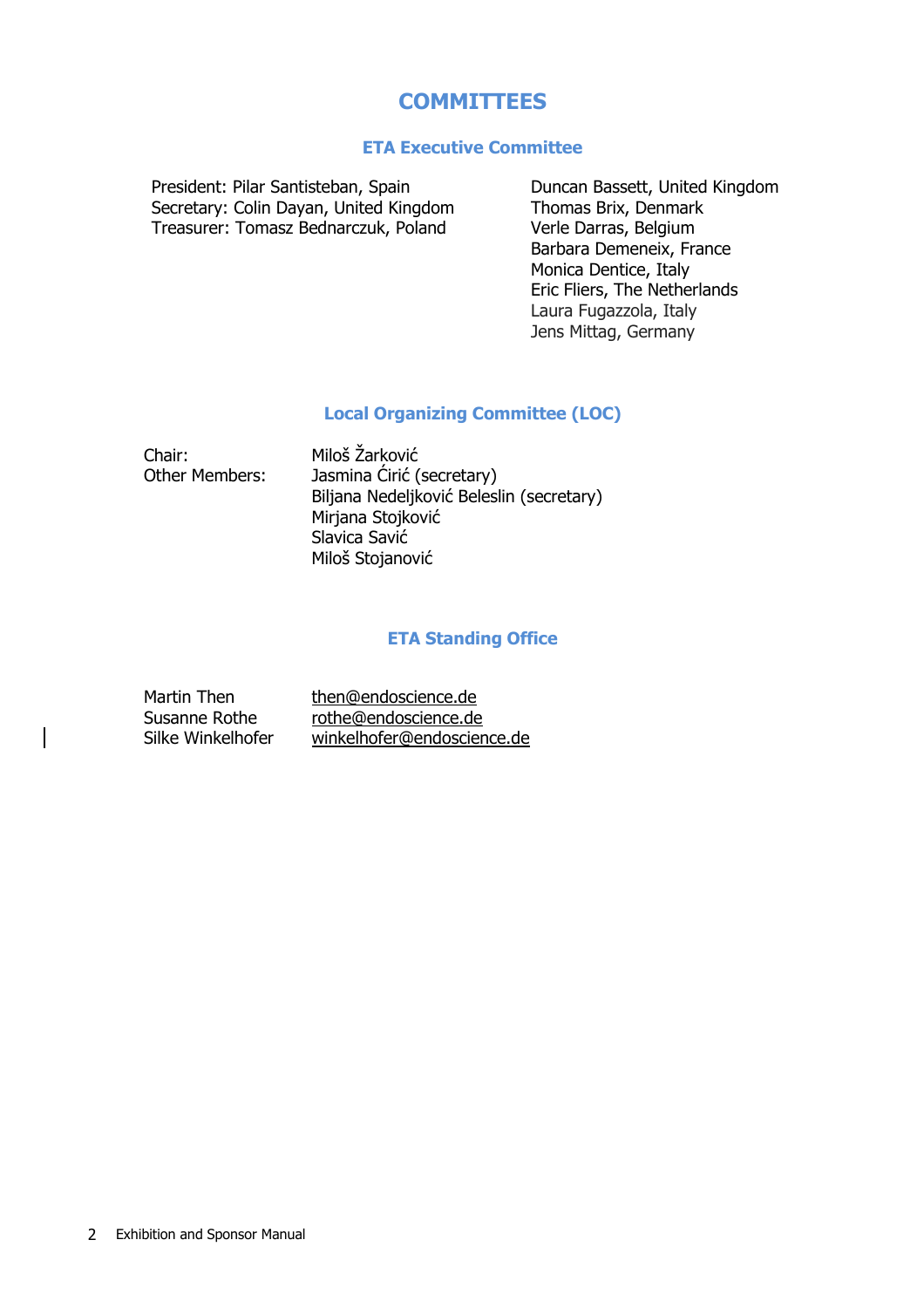## **COMMITTEES**

### **ETA Executive Committee**

President: Pilar Santisteban, Spain Secretary: Colin Dayan, United Kingdom Treasurer: Tomasz Bednarczuk, Poland

Duncan Bassett, United Kingdom Thomas Brix, Denmark Verle Darras, Belgium Barbara Demeneix, France Monica Dentice, Italy Eric Fliers, The Netherlands Laura Fugazzola, Italy Jens Mittag, Germany

### **Local Organizing Committee (LOC)**

Chair: Miloš Žarković Other Members: Jasmina Ćirić (secretary) Biljana Nedeljković Beleslin (secretary) Mirjana Stojković Slavica Savić Miloš Stojanović

## **ETA Standing Office**

| Martin Then       | then@endoscience.de        |
|-------------------|----------------------------|
| Susanne Rothe     | rothe@endoscience.de       |
| Silke Winkelhofer | winkelhofer@endoscience.de |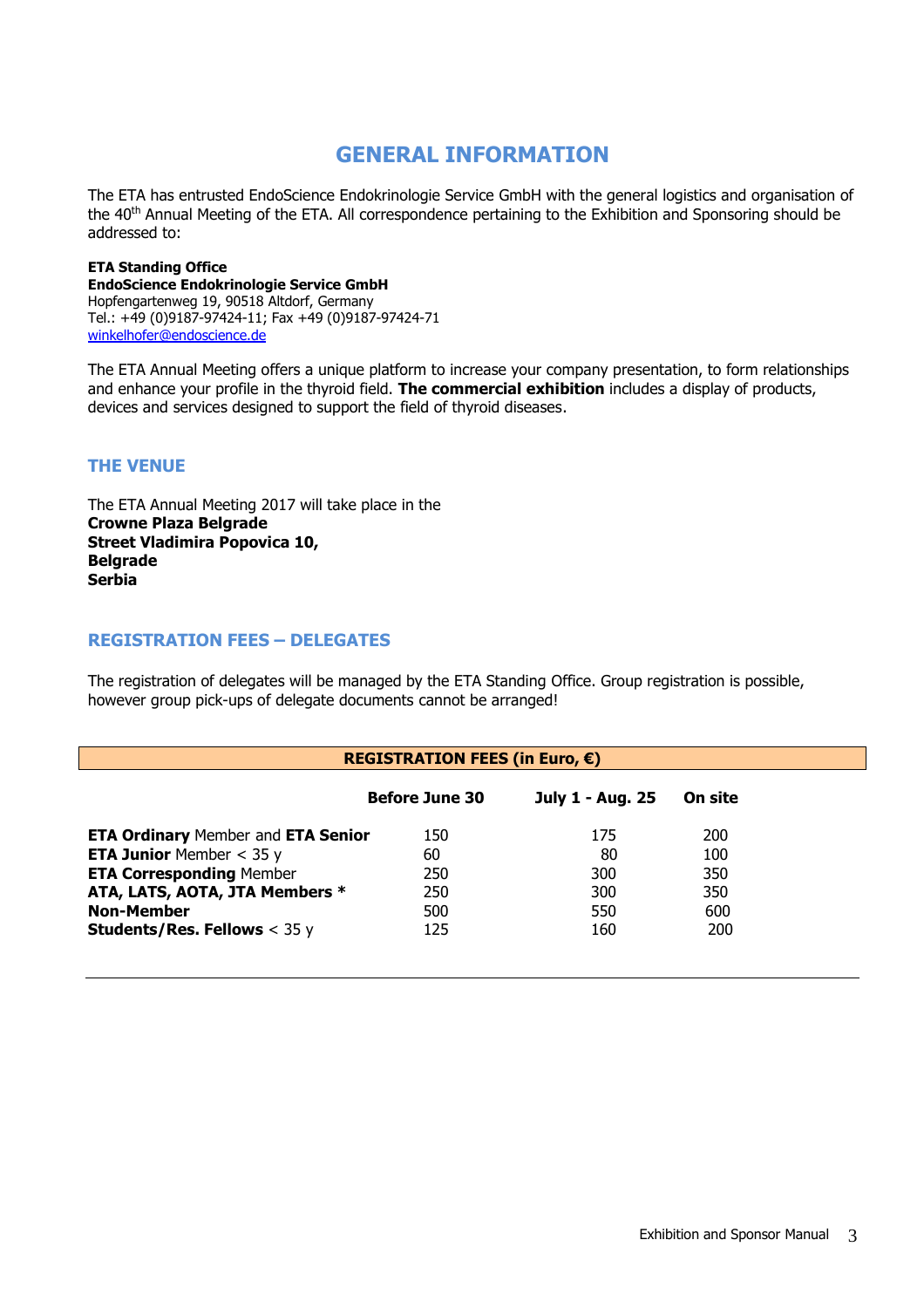## **GENERAL INFORMATION**

The ETA has entrusted EndoScience Endokrinologie Service GmbH with the general logistics and organisation of the 40th Annual Meeting of the ETA. All correspondence pertaining to the Exhibition and Sponsoring should be addressed to:

#### **ETA Standing Office EndoScience Endokrinologie Service GmbH** Hopfengartenweg 19, 90518 Altdorf, Germany Tel.: +49 (0)9187-97424-11; Fax +49 (0)9187-97424-71 [winkelhofer@endoscience.de](mailto:winkelhofer@endoscience.de)

The ETA Annual Meeting offers a unique platform to increase your company presentation, to form relationships and enhance your profile in the thyroid field. **The commercial exhibition** includes a display of products, devices and services designed to support the field of thyroid diseases.

## **THE VENUE**

The ETA Annual Meeting 2017 will take place in the **Crowne Plaza Belgrade Street Vladimira Popovica 10, Belgrade Serbia** 

### **REGISTRATION FEES – DELEGATES**

The registration of delegates will be managed by the ETA Standing Office. Group registration is possible, however group pick-ups of delegate documents cannot be arranged!

| REGISTRATION FEES (in Euro, $\epsilon$ )  |                       |                  |         |  |
|-------------------------------------------|-----------------------|------------------|---------|--|
|                                           | <b>Before June 30</b> | July 1 - Aug. 25 | On site |  |
| <b>ETA Ordinary Member and ETA Senior</b> | 150                   | 175              | 200     |  |
| <b>ETA Junior</b> Member $<$ 35 y         | 60                    | 80               | 100     |  |
| <b>ETA Corresponding Member</b>           | 250                   | 300              | 350     |  |
| ATA, LATS, AOTA, JTA Members *            | 250                   | 300              | 350     |  |
| <b>Non-Member</b>                         | 500                   | 550              | 600     |  |
| <b>Students/Res. Fellows &lt; 35 y</b>    | 125                   | 160              | 200     |  |
|                                           |                       |                  |         |  |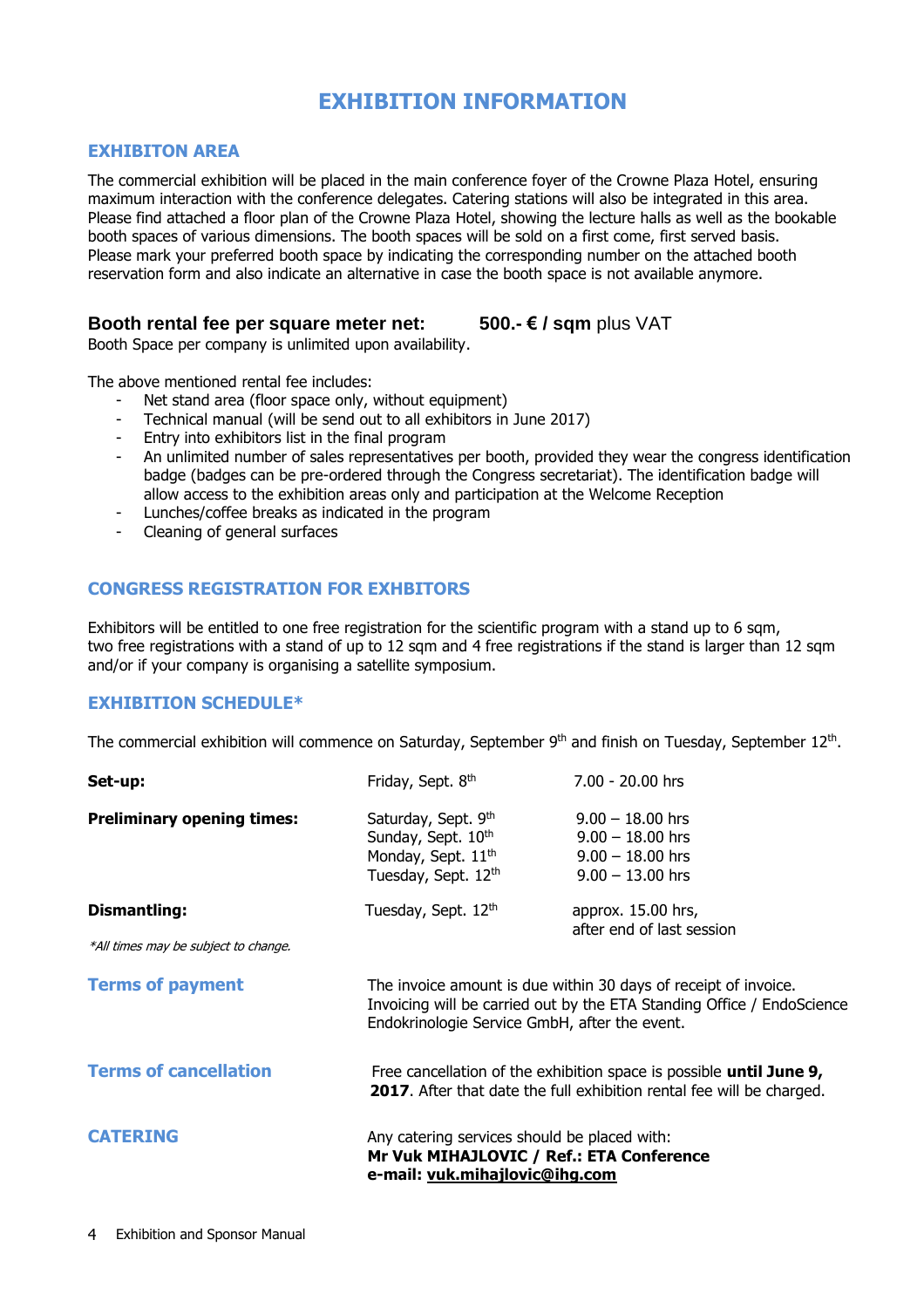## **EXHIBITION INFORMATION**

### **EXHIBITON AREA**

The commercial exhibition will be placed in the main conference foyer of the Crowne Plaza Hotel, ensuring maximum interaction with the conference delegates. Catering stations will also be integrated in this area. Please find attached a floor plan of the Crowne Plaza Hotel, showing the lecture halls as well as the bookable booth spaces of various dimensions. The booth spaces will be sold on a first come, first served basis. Please mark your preferred booth space by indicating the corresponding number on the attached booth reservation form and also indicate an alternative in case the booth space is not available anymore.

### **Booth rental fee per square meter net: 500.- € / sqm** plus VAT

Booth Space per company is unlimited upon availability.

The above mentioned rental fee includes:

- Net stand area (floor space only, without equipment)
- Technical manual (will be send out to all exhibitors in June 2017)
- Entry into exhibitors list in the final program
- An unlimited number of sales representatives per booth, provided they wear the congress identification badge (badges can be pre-ordered through the Congress secretariat). The identification badge will allow access to the exhibition areas only and participation at the Welcome Reception
- Lunches/coffee breaks as indicated in the program
- Cleaning of general surfaces

### **CONGRESS REGISTRATION FOR EXHBITORS**

Exhibitors will be entitled to one free registration for the scientific program with a stand up to 6 sqm, two free registrations with a stand of up to 12 sqm and 4 free registrations if the stand is larger than 12 sqm and/or if your company is organising a satellite symposium.

### **EXHIBITION SCHEDULE\***

The commercial exhibition will commence on Saturday, September 9<sup>th</sup> and finish on Tuesday, September 12<sup>th</sup>.

| Set-up:                                                     | Friday, Sept. 8th                                                                                                                                                                          | 7.00 - 20.00 hrs                                                                     |
|-------------------------------------------------------------|--------------------------------------------------------------------------------------------------------------------------------------------------------------------------------------------|--------------------------------------------------------------------------------------|
| <b>Preliminary opening times:</b>                           | Saturday, Sept. 9th<br>Sunday, Sept. 10th<br>Monday, Sept. 11 <sup>th</sup><br>Tuesday, Sept. 12th                                                                                         | $9.00 - 18.00$ hrs<br>$9.00 - 18.00$ hrs<br>$9.00 - 18.00$ hrs<br>$9.00 - 13.00$ hrs |
| <b>Dismantling:</b><br>*All times may be subject to change. | Tuesday, Sept. 12th                                                                                                                                                                        | approx. 15.00 hrs,<br>after end of last session                                      |
| <b>Terms of payment</b>                                     | The invoice amount is due within 30 days of receipt of invoice.<br>Invoicing will be carried out by the ETA Standing Office / EndoScience<br>Endokrinologie Service GmbH, after the event. |                                                                                      |
| <b>Terms of cancellation</b>                                | Free cancellation of the exhibition space is possible until June 9,<br>2017. After that date the full exhibition rental fee will be charged.                                               |                                                                                      |
| <b>CATERING</b>                                             | Any catering services should be placed with:<br>Mr Vuk MIHAJLOVIC / Ref.: ETA Conference<br>e-mail: vuk.mihajlovic@ihg.com                                                                 |                                                                                      |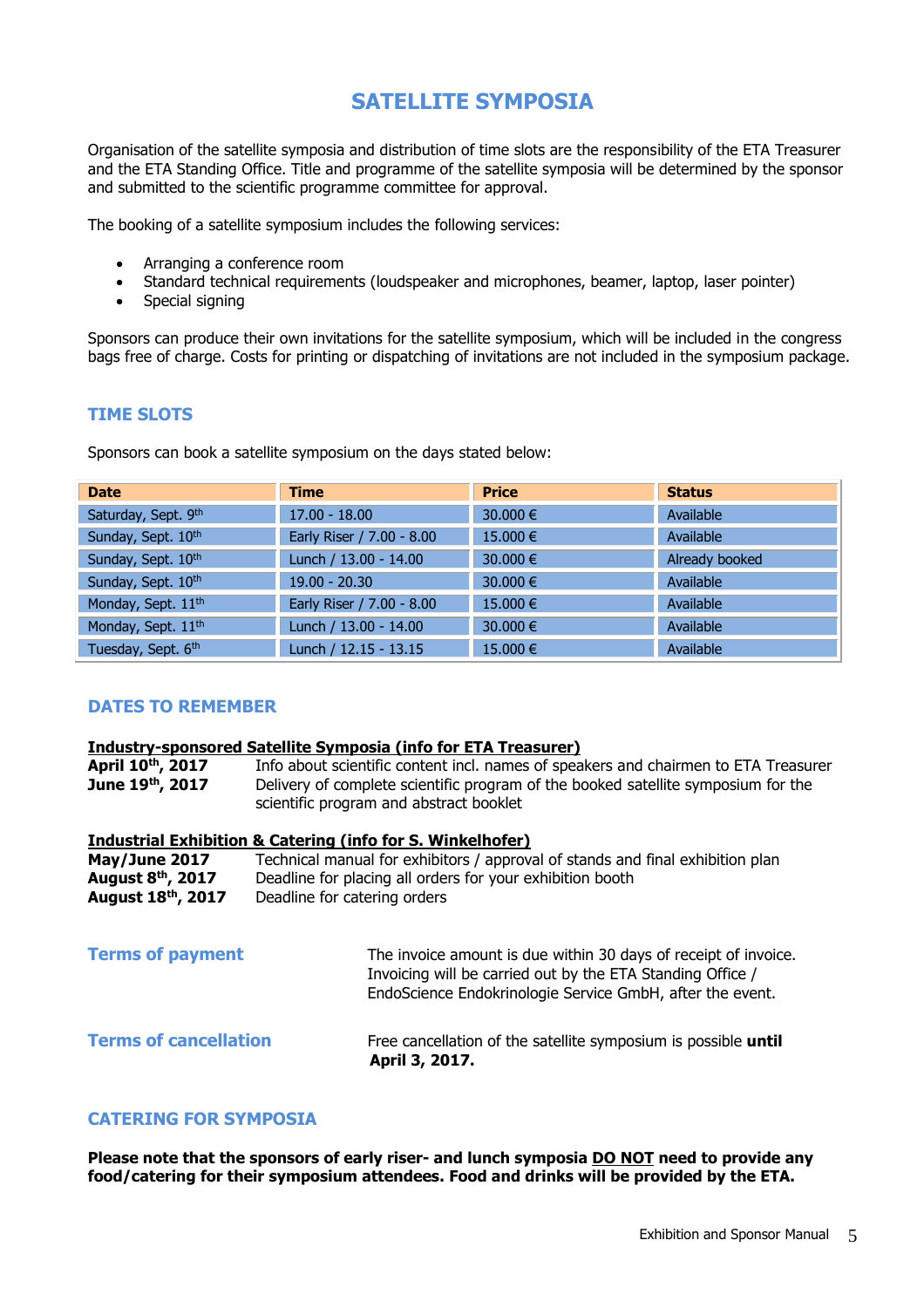# **SATELLITE SYMPOSIA**

Organisation of the satellite symposia and distribution of time slots are the responsibility of the ETA Treasurer and the ETA Standing Office. Title and programme of the satellite symposia will be determined by the sponsor and submitted to the scientific programme committee for approval.

The booking of a satellite symposium includes the following services:

- Arranging a conference room
- Standard technical requirements (loudspeaker and microphones, beamer, laptop, laser pointer)
- Special signing

Sponsors can produce their own invitations for the satellite symposium, which will be included in the congress bags free of charge. Costs for printing or dispatching of invitations are not included in the symposium package.

### **TIME SLOTS**

Sponsors can book a satellite symposium on the days stated below:

| <b>Date</b>                    | <b>Time</b>               | <b>Price</b> | <b>Status</b>  |
|--------------------------------|---------------------------|--------------|----------------|
| Saturday, Sept. 9th            | $17.00 - 18.00$           | 30.000 €     | Available      |
| Sunday, Sept. 10th             | Early Riser / 7.00 - 8.00 | 15.000 €     | Available      |
| Sunday, Sept. 10th             | Lunch / 13.00 - 14.00     | 30.000 €     | Already booked |
| Sunday, Sept. 10th             | $19.00 - 20.30$           | 30,000 €     | Available      |
| Monday, Sept. 11 <sup>th</sup> | Early Riser / 7.00 - 8.00 | 15,000 €     | Available      |
| Monday, Sept. 11 <sup>th</sup> | Lunch / 13.00 - 14.00     | 30.000 €     | Available      |
| Tuesday, Sept. 6th             | Lunch / 12.15 - 13.15     | 15.000 €     | Available      |

### **DATES TO REMEMBER**

# **Industry-sponsored Satellite Symposia (info for ETA Treasurer)**

April 10<sup>th</sup>, 2017 Info about scientific content incl. names of speakers and chairmen to ETA Treasurer<br>**June 19<sup>th</sup>, 2017** Delivery of complete scientific program of the booked satellite symposium for the **June 19th, 2017** Delivery of complete scientific program of the booked satellite symposium for the scientific program and abstract booklet

|                                | Industrial Exhibition & Catering (info for S. Winkelhofer)                     |
|--------------------------------|--------------------------------------------------------------------------------|
| May/June 2017                  | Technical manual for exhibitors / approval of stands and final exhibition plan |
| August 8 <sup>th</sup> , 2017  | Deadline for placing all orders for your exhibition booth                      |
| August 18 <sup>th</sup> , 2017 | Deadline for catering orders                                                   |

| <b>Terms of payment</b>      | The invoice amount is due within 30 days of receipt of invoice.<br>Invoicing will be carried out by the ETA Standing Office /<br>EndoScience Endokrinologie Service GmbH, after the event. |
|------------------------------|--------------------------------------------------------------------------------------------------------------------------------------------------------------------------------------------|
| <b>Terms of cancellation</b> | Free cancellation of the satellite symposium is possible until<br>April 3, 2017.                                                                                                           |

### **CATERING FOR SYMPOSIA**

**Please note that the sponsors of early riser- and lunch symposia DO NOT need to provide any food/catering for their symposium attendees. Food and drinks will be provided by the ETA.**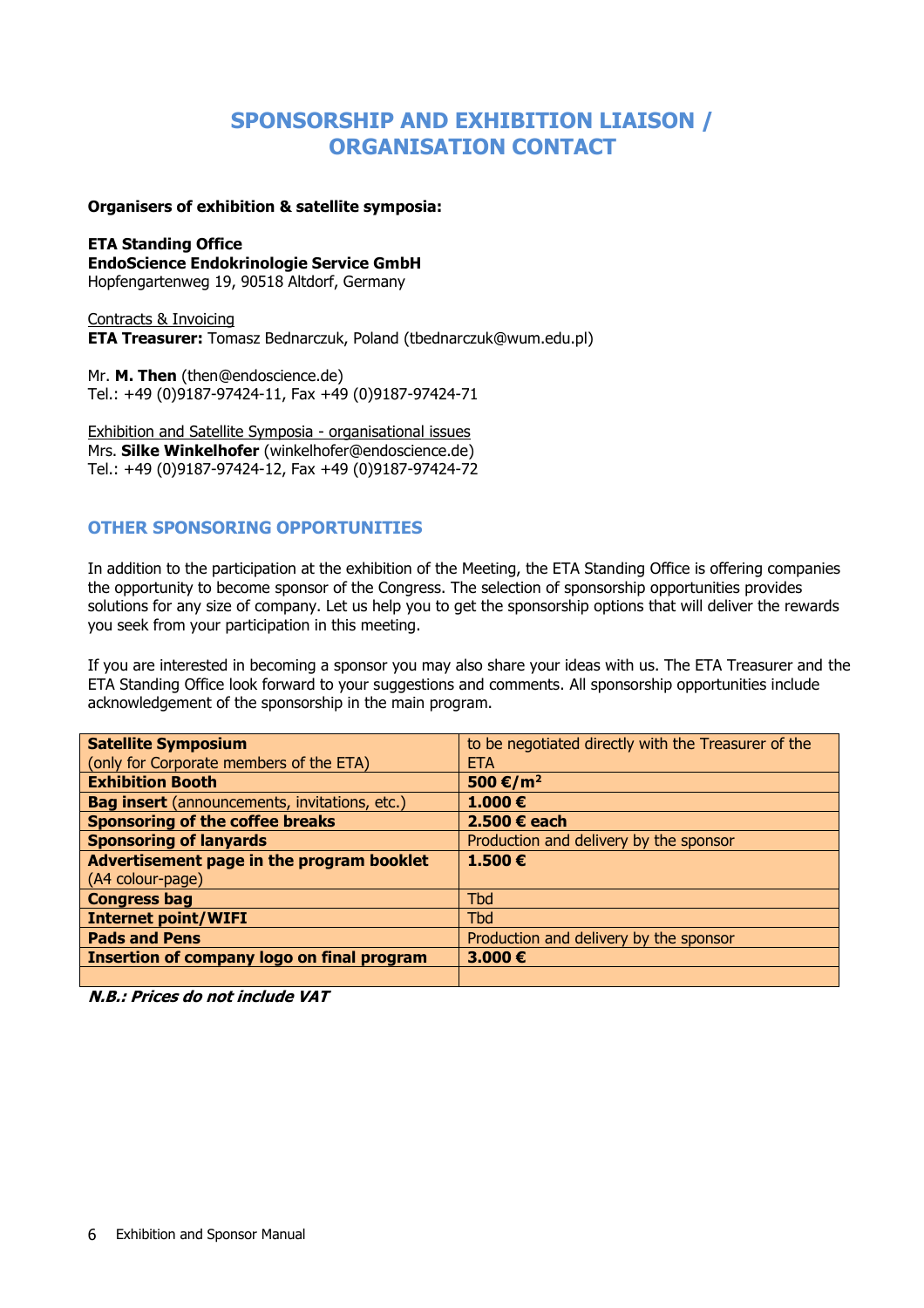# **SPONSORSHIP AND EXHIBITION LIAISON / ORGANISATION CONTACT**

#### **Organisers of exhibition & satellite symposia:**

**ETA Standing Office EndoScience Endokrinologie Service GmbH** Hopfengartenweg 19, 90518 Altdorf, Germany

Contracts & Invoicing **ETA Treasurer:** Tomasz Bednarczuk, Poland (tbednarczuk@wum.edu.pl)

Mr. **M. Then** (then@endoscience.de) Tel.: +49 (0)9187-97424-11, Fax +49 (0)9187-97424-71

Exhibition and Satellite Symposia - organisational issues Mrs. **Silke Winkelhofer** [\(winkelhofer@endoscience.de\)](mailto:winkelhofer@endoscience.de) Tel.: +49 (0)9187-97424-12, Fax +49 (0)9187-97424-72

### **OTHER SPONSORING OPPORTUNITIES**

In addition to the participation at the exhibition of the Meeting, the ETA Standing Office is offering companies the opportunity to become sponsor of the Congress. The selection of sponsorship opportunities provides solutions for any size of company. Let us help you to get the sponsorship options that will deliver the rewards you seek from your participation in this meeting.

If you are interested in becoming a sponsor you may also share your ideas with us. The ETA Treasurer and the ETA Standing Office look forward to your suggestions and comments. All sponsorship opportunities include acknowledgement of the sponsorship in the main program.

| <b>Satellite Symposium</b>                           | to be negotiated directly with the Treasurer of the |
|------------------------------------------------------|-----------------------------------------------------|
| (only for Corporate members of the ETA)              | <b>ETA</b>                                          |
| <b>Exhibition Booth</b>                              | 500 €/m <sup>2</sup>                                |
| <b>Bag insert</b> (announcements, invitations, etc.) | 1.000 $\epsilon$                                    |
| <b>Sponsoring of the coffee breaks</b>               | 2.500 € each                                        |
| <b>Sponsoring of lanyards</b>                        | Production and delivery by the sponsor              |
| Advertisement page in the program booklet            | 1.500€                                              |
| (A4 colour-page)                                     |                                                     |
| <b>Congress bag</b>                                  | <b>Tbd</b>                                          |
| <b>Internet point/WIFI</b>                           | <b>Tbd</b>                                          |
| <b>Pads and Pens</b>                                 | Production and delivery by the sponsor              |
| <b>Insertion of company logo on final program</b>    | 3.000€                                              |
|                                                      |                                                     |

**N.B.: Prices do not include VAT**